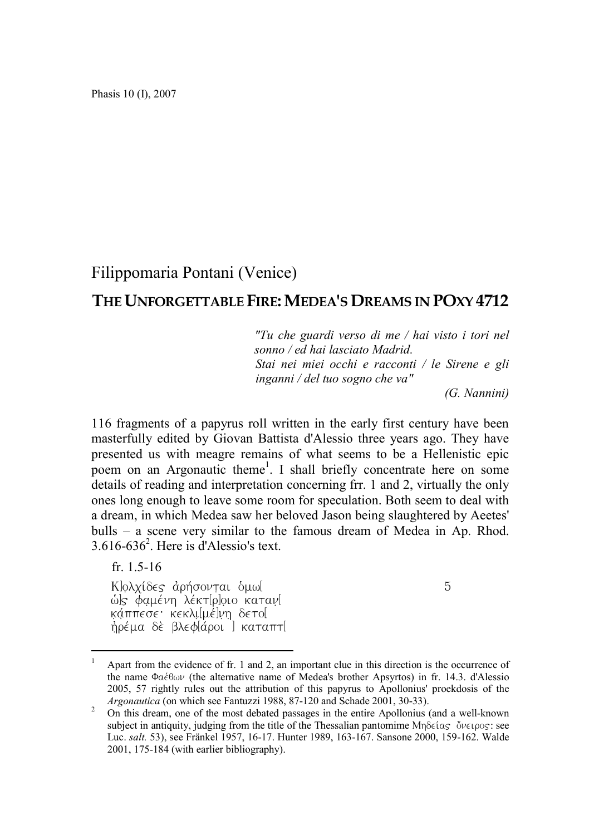Phasis 10 (I), 2007

## Filippomaria Pontani (Venice)

## THE UNFORGETTABLE FIRE:MEDEA'S DREAMS IN POXY 4712

*"Tu che guardi verso di me / hai visto i tori nel sonno / ed hai lasciato Madrid. Stai nei miei occhi e racconti / le Sirene e gli inganni / del tuo sogno che va"*

*(G. Nannini)*

116 fragments of a papyrus roll written in the early first century have been masterfully edited by Giovan Battista d'Alessio three years ago. They have presented us with meagre remains of what seems to be a Hellenistic epic poem on an Argonautic theme<sup>1</sup>. I shall briefly concentrate here on some details of reading and interpretation concerning frr. 1 and 2, virtually the only ones long enough to leave some room for speculation. Both seem to deal with a dream, in which Medea saw her beloved Jason being slaughtered by Aeetes' bulls – a scene very similar to the famous dream of Medea in Ap. Rhod.  $3.616 - 636^2$ . Here is d'Alessio's text.

fr. 1.5-16

Klo∧xíδes αρήσονται oμωl 5 We *φαμένη λέκτ*ΙρΙοιο κατανί kάππεσε· κεκλι[μέ]νη δετο[ ήρέμα δὲ βλεφ[άροι ] καταπτ[

<sup>&</sup>lt;sup>1</sup> Apart from the evidence of fr. 1 and 2, an important clue in this direction is the occurrence of the name  $\Phi\alpha \in \Theta$  (the alternative name of Medea's brother Apsyrtos) in fr. 14.3. d'Alessio 2005, 57 rightly rules out the attribution of this papyrus to Apollonius' proekdosis of the *Argonautica* (on which see Fantuzzi 1988, 87-120 and Schade 2001, 30-33).

<sup>&</sup>lt;sup>2</sup> On this dream, one of the most debated passages in the entire Apollonius (and a well-known subject in antiquity, judging from the title of the Thessalian pantomime  $Mn\delta\epsilon(aS \delta\nu\epsilon_1\rho_0S)$ : see Luc. *salt.* 53), see Fränkel 1957, 16-17. Hunter 1989, 163-167. Sansone 2000, 159-162. Walde 2001, 175-184 (with earlier bibliography).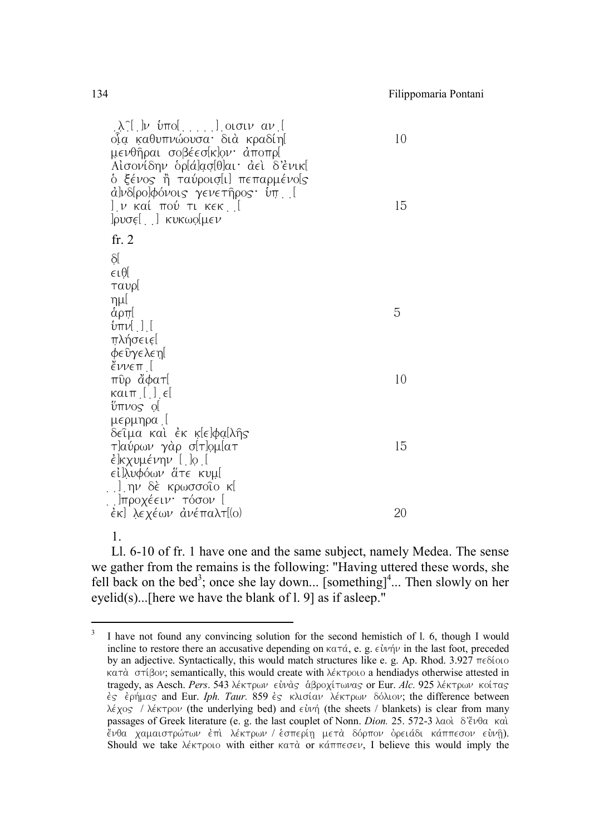| . λ^[ ]ν ύπο[ ] οισιν αν [<br>οια καθυπνώουσα· διά κραδίη[<br>μενθῆραι σοβέεσ[κ]ον∙ ἀποπρ[<br>Αἰσονίδην ὁρ[ά]ασ[θ]αι· ἀεὶ δ'ἐνικ[<br>ό ξένος ἢ ταύροισ[ι] πεπαρμένο[ς<br>ά]νδ[ρο]φόνοις γενετῆρος ὑπ. [<br>] ν καί πού τι κεκ [[ | 10<br>15 |
|----------------------------------------------------------------------------------------------------------------------------------------------------------------------------------------------------------------------------------|----------|
| fr. $2$                                                                                                                                                                                                                          |          |
| δĺ                                                                                                                                                                                                                               |          |
| ∈ιθ∣                                                                                                                                                                                                                             |          |
| ταυρί                                                                                                                                                                                                                            |          |
| ημl                                                                                                                                                                                                                              |          |
| άρπί                                                                                                                                                                                                                             | 5        |
| ύπν[ ] [<br>πλήσειε[                                                                                                                                                                                                             |          |
| φεῦγελεη[                                                                                                                                                                                                                        |          |
| <i>ἔνν</i> επ [                                                                                                                                                                                                                  |          |
| πῦρ ἄφατ[                                                                                                                                                                                                                        | 10       |
|                                                                                                                                                                                                                                  |          |
| ύπνος o[                                                                                                                                                                                                                         |          |
| μερμηρα [                                                                                                                                                                                                                        |          |
| δείμα και έκ κ[ε]φα[λῆς                                                                                                                                                                                                          | 15       |
| τ]αύρων γὰρ σ[τ]ọμ[ατ<br>έ]κχυμένην [ ]o [                                                                                                                                                                                       |          |
| ∈ἰ]λυφόων ἅτε κυμ[                                                                                                                                                                                                               |          |
| . .].ην δὲ κρωσσοῖο κ[                                                                                                                                                                                                           |          |
| ∴]προχέειν∙ τόσον [                                                                                                                                                                                                              |          |
| έκ] λεχέων ἀνέπαλτ[(o)                                                                                                                                                                                                           | 20       |
|                                                                                                                                                                                                                                  |          |

1.

Ll. 6-10 of fr. 1 have one and the same subject, namely Medea. The sense we gather from the remains is the following: "Having uttered these words, she fell back on the bed<sup>3</sup>; once she lay down... [something]<sup>4</sup>... Then slowly on her eyelid(s)...[here we have the blank of l. 9] as if asleep."

<sup>&</sup>lt;sup>3</sup> I have not found any convincing solution for the second hemistich of l. 6, though I would incline to restore there an accusative depending on  $\kappa a \tau \dot{a}$ , e. g.  $\epsilon \dot{v}$  in the last foot, preceded by an adjective. Syntactically, this would match structures like e. g. Ap. Rhod.  $3.927 \text{ } \pi\text{e}$  6000  $\kappa a \tau \dot{\alpha}$  or  $\hat{\beta}$ ov; semantically, this would create with  $\lambda \in \mathcal{K}$  reproses a hendiadys otherwise attested in tragedy, as Aesch. *Pers.* 543 λέκτρων εὐνὰς ἀβροχίτωνας or Eur. *Alc.* 925 λέκτρων κοίτας ες ερήμας and Eur. *Iph. Taur.* 859 ες κλισίαν λέκτρων δόλιον; the difference between  $\lambda \epsilon y$  /  $\lambda \epsilon y$  /  $\lambda \epsilon$  /  $\lambda \epsilon$  /  $\lambda \epsilon$  / (the sheets / blankets) is clear from many passages of Greek literature (e. g. the last couplet of Nonn. *Dion.* 25. 572-3 λαολ δ<sup>2</sup>ένθα καλ  $e^{i\theta}$ νθα χαμαιστρώτων έπι λέκτρων / έσπερίη μετὰ δόρπον ὀρειάδι κάππεσον εὐνῆ). Should we take  $\lambda \in \mathcal{X}$  with either kata or kanter sen, I believe this would imply the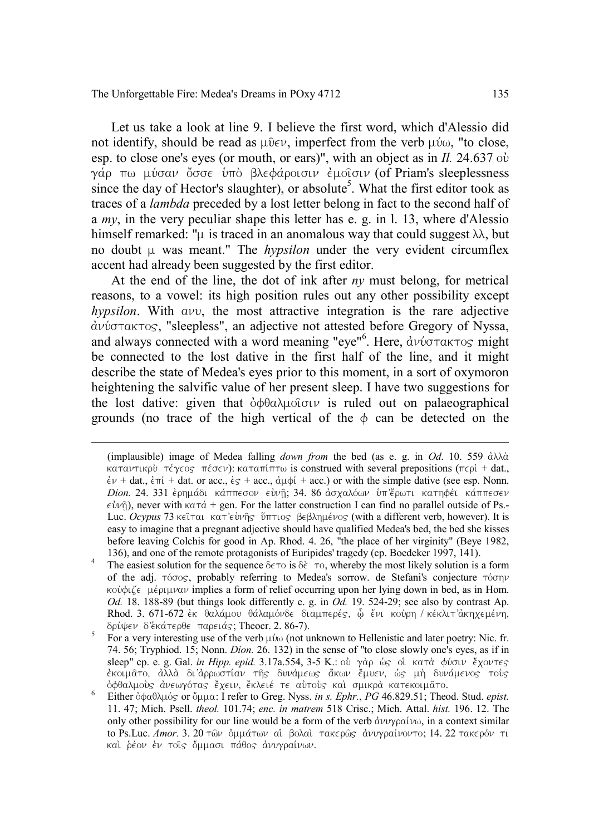Let us take a look at line 9. I believe the first word, which d'Alessio did not identify, should be read as  $\mu\bar{\nu}\in\mathcal{V}$ , imperfect from the verb  $\mu\bar{\nu}\omega$ , "to close, esp. to close one's eyes (or mouth, or ears)", with an object as in  $II$ , 24.637 ov γάρ πω μύσαν ὄσσε υπό βλεφάροισιν έμοισιν (of Priam's sleeplessness since the day of Hector's slaughter), or absolute<sup>5</sup>. What the first editor took as traces of a *lambda* preceded by a lost letter belong in fact to the second half of a *my*, in the very peculiar shape this letter has e. g. in l. 13, where d'Alessio himself remarked: " $\mu$  is traced in an anomalous way that could suggest  $\lambda\lambda$ , but no doubt  $\mu$  was meant." The *hypsilon* under the very evident circumflex accent had already been suggested by the first editor.

At the end of the line, the dot of ink after *ny* must belong, for metrical reasons, to a vowel: its high position rules out any other possibility except  $hypsilon$ . With  $a\overline{\nu}v$ , the most attractive integration is the rare adjective  $\alpha$ νύστακτος, "sleepless", an adjective not attested before Gregory of Nyssa, and always connected with a word meaning "eye"<sup>6</sup>. Here,  $\frac{d\psi}{d\sigma\tau a\kappa\tau o_S}$  might be connected to the lost dative in the first half of the line, and it might describe the state of Medea's eyes prior to this moment, in a sort of oxymoron heightening the salvific value of her present sleep. I have two suggestions for the lost dative: given that  $\delta \phi \theta \alpha \lambda \mu \partial \sigma \nu$  is ruled out on palaeographical grounds (no trace of the high vertical of the  $\phi$  can be detected on the

<sup>(</sup>implausible) image of Medea falling *down from* the bed (as e. g. in *Od.* 10. 559  $\partial \lambda \lambda \partial x$  $k \alpha \tau \alpha \nu \tau \kappa \omega$ ):  $k \alpha \tau \alpha \nu \tau$  is construed with several prepositions ( $\tau \epsilon \omega$ ) + dat.  $\epsilon v$  + dat.,  $\epsilon \pi i$  + dat. or acc.,  $\epsilon \epsilon$  + acc.,  $\alpha u \phi i$  + acc.) or with the simple dative (see esp. Nonn. *Dion.* 24. 331 έρημάδι κάππεσον είνη, 34. 86 ασχαλόων υπ'έρωτι κατηφέϊ κάππεσεν  $\epsilon \dot{\psi}$ ), never with  $\kappa \alpha \tau \dot{\alpha} + \text{gen}$ . For the latter construction I can find no parallel outside of Ps.-Luc. *Ocypus* 73 κεῖται κατ'εὐνῆς ὕπτιος βεβλημένος (with a different verb, however). It is easy to imagine that a pregnant adjective should have qualified Medea's bed, the bed she kisses before leaving Colchis for good in Ap. Rhod. 4. 26, "the place of her virginity" (Beye 1982,

<sup>136),</sup> and one of the remote protagonists of Euripides' tragedy (cp. Boedeker 1997, 141).<br><sup>4</sup> The easiest solution for the sequence  $\delta \epsilon \tau o$  is  $\delta \epsilon \tau o$ , whereby the most likely solution is a form of the adj.  $\tau\acute{o} \sigma$ <sub>S</sub>, probably referring to Medea's sorrow. de Stefani's conjecture  $\tau\acute{o} \sigma\gamma\gamma$ κούφιζε μέριμναν implies a form of relief occurring upon her lying down in bed, as in Hom. *Od.* 18. 188-89 (but things look differently e. g. in  $O\hat{d}$ , 19. 524-29; see also by contrast Ap. Rhod. 3. 671-672 èκ θαλάμου θάλαμόνδε διαμπερές, ὧ ἔνι κούρη / κέκλιτ'ἀκηχεμένη,<br>δούψεν δ'έκάτερθε παρειάς: Theocr. 2. 86-7).

 $\frac{1}{2}$  For a very interesting use of the verb  $\mu\omega$  (not unknown to Hellenistic and later poetry: Nic. fr. 74. 56; Tryphiod. 15; Nonn. *Dion.* 26. 132) in the sense of "to close slowly one's eyes, as if in sleep" cp. e. g. Gal. *in Hipp. epid*. 3.17a.554, 3-5 K.: οὐ γὰρ ὡς οἱ κατὰ φύσιν ἔχοντες<br>ἐκοιμᾶτο, ἀλλὰ δι'ἀρρωστίαν τῆς δυνάμεως ἄκων ἔμυεν, ὡς μὴ δυνάμενος τοὺς

Either ὀφαθλμός or ὄμμα: I refer to Greg. Nyss. *in s. Ephr.*, *PG* 46.829.51; Theod. Stud. *epist.* 11. 47; Mich. Psell. *theol.* 101.74; *enc. in matrem* 518 Crisc.; Mich. Attal. *hist.* 196. 12. The only other possibility for our line would be a form of the verb  $\partial \psi \gamma \partial \phi$  in a context similar to Ps.Luc. *Amor.* 3. 20 των όμμάτων αί βολαί τακερως άνυγραίνοντο; 14. 22 τακερόν τι και ρέον εν τοις όμμασι πάθος ανυγραίνων.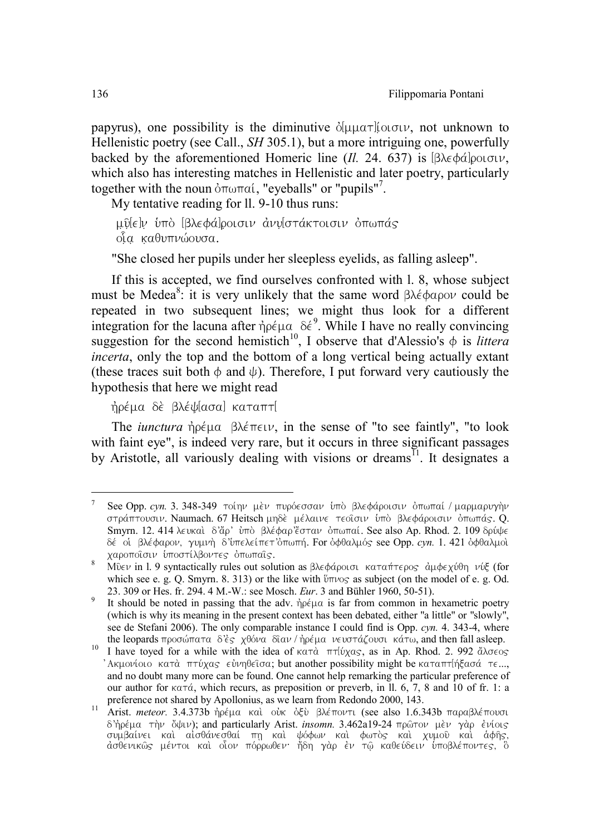papyrus), one possibility is the diminutive  $\delta[\mu\mu\alpha\tau]$  (or  $\sigma[\nu\mu]$ , not unknown to Hellenistic poetry (see Call., *SH* 305.1), but a more intriguing one, powerfully backed by the aforementioned Homeric line (*Il.* 24. 637) is  $\left[\beta \right]$ <sub>0</sub>  $\sigma$ <sub>1</sub>, which also has interesting matches in Hellenistic and later poetry, particularly together with the noun  $\delta \pi \omega \pi \alpha i$ , "eyeballs" or "pupils"<sup>7</sup>.

My tentative reading for ll. 9-10 thus runs:

μῦ[ε]ν ὑπὸ [βλεφά]ροισιν ἀνυ[στάκτοισιν ὀπωπάς  $\delta \alpha$  καθυπνώουσα.

"She closed her pupils under her sleepless eyelids, as falling asleep".

If this is accepted, we find ourselves confronted with l. 8, whose subject must be Medea<sup>8</sup>: it is very unlikely that the same word  $\beta\lambda \dot{\epsilon} \phi \alpha \rho o \nu$  could be repeated in two subsequent lines; we might thus look for a different integration for the lacuna after  $\eta \rho \in \mu \alpha$   $\delta \epsilon^9$ . While I have no really convincing suggestion for the second hemistich<sup>10</sup>, I observe that d'Alessio's  $\phi$  is *littera incerta*, only the top and the bottom of a long vertical being actually extant (these traces suit both  $\phi$  and  $\psi$ ). Therefore, I put forward very cautiously the hypothesis that here we might read

ήρέμα δὲ βλέψ[ασα] καταπτ[

The *iunctura*  $\hat{\theta}$  $\rho \notin \mu \alpha$   $\beta \lambda \notin \pi \in \mathcal{V}$ , in the sense of "to see faintly", "to look with faint eye", is indeed very rare, but it occurs in three significant passages by Aristotle, all variously dealing with visions or dreams<sup> $\overline{1}$ </sup>. It designates a

See Opp. *cyn.* 3. 348-349 τοίην μεν πυρόεσσαν υπο βλεφάροισιν οπωπαί / μαρμαρυγήν στράπτουσιν. Naumach. 67 Heitsch μηδε μέλαινε τεοΐσιν υπό βλεφάροισιν όπωπάς. Q. Smyrn. 12. 414 λευκαί δ'ἄρ' ὐπὸ βλέφαρ'ἔσταν ὀπωπαί. See also Ap. Rhod. 2. 109 δρύψε δέ οι βλέφαρον, γυμνὴ δ'υπελείπετ' σπωπή. For οφθαλμός see Opp. *cyn.* 1. 421 οφθαλμοί<br>χαροποῖσιν ὑποστίλβοντες ὀπωπαῖς.

 $\frac{8}{1000}$  Music in l. 9 syntactically rules out solution as  $\beta \lambda \epsilon \phi \dot{\alpha}$  and  $\tau \alpha \dot{\beta}$  and  $\epsilon \dot{\gamma}$  and  $\epsilon \dot{\gamma}$  (for which see e. g. Q. Smyrn. 8. 313) or the like with  $\frac{6}{10}$  as subject (on the model of e. g. Od. 23. 309 or Hes. fr. 294. 4 M.-W.: see Mosch. *Eur*. 3 and Bühler 1960, 50-51).

It should be noted in passing that the adv.  $\phi \rho \in \mu$  is far from common in hexametric poetry (which is why its meaning in the present context has been debated, either "a little" or "slowly", see de Stefani 2006). The only comparable instance I could find is Opp. *cyn.* 4. 343-4, where the leopards προσώπατα δ'ές χθόνα διαν / λοέμα νευστάζουσι κάτω, and then fall asleep.

<sup>&</sup>lt;sup>10</sup> I have toved for a while with the idea of κατά  $\pi\tau\beta x$ ας, as in Ap. Rhod. 2. 992 άλσεος  $'$ Ακμονίοιο κατά πτύχας εὐνηθεῖσα; but another possibility might be καταπτιήξασά τε..., and no doubt many more can be found. One cannot help remarking the particular preference of our author for  $\kappa \alpha \tau \dot{\alpha}$ , which recurs, as preposition or preverb, in II. 6, 7, 8 and 10 of fr. 1: a preference not shared by Apollonius, as we learn from Redondo 2000, 143.<br><sup>11</sup> Arist. *meteor*. 3.4.373b *hοέμα* καὶ οὐκ ὀξὺ βλέποντι (see also 1.6.343b παραβλέπονσι

 $\delta$ 'hoέμα την ὄψιν); and particularly Arist. *insomn.* 3.462a19-24 πρώτον μèν γὰρ ἐνίοις συμβαίνει καὶ αἰσθάνεσθαί πη καὶ ψόφων καὶ φωτὸς καὶ χυμοῦ καὶ ἀφῆς,<br>ἀσθενικῶς μέντοι καὶ οἶον πόρρωθεν· ἤδη γὰρ ἐν τῷ καθεύδειν ὑποβλέποντες, ὃ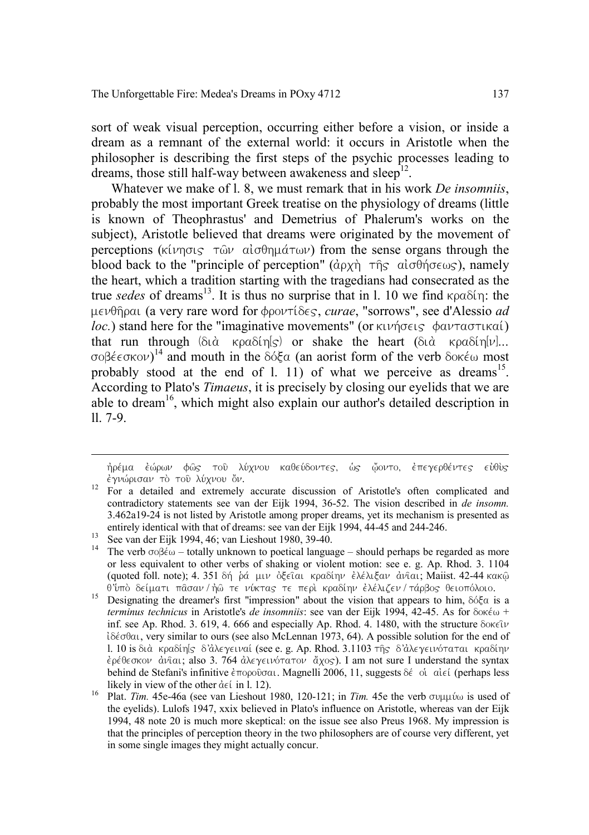sort of weak visual perception, occurring either before a vision, or inside a dream as a remnant of the external world: it occurs in Aristotle when the philosopher is describing the first steps of the psychic processes leading to dreams, those still half-way between awakeness and sleep<sup>12</sup>.

Whatever we make of l. 8, we must remark that in his work *De insomniis*, probably the most important Greek treatise on the physiology of dreams (little is known of Theophrastus' and Demetrius of Phalerum's works on the subject), Aristotle believed that dreams were originated by the movement of perceptions ( $\kappa(\nu)$   $\eta$   $\omega$  algebra  $\sigma(\nu)$ ) from the sense organs through the blood back to the "principle of perception" ( $\hat{q}$ )  $\hat{q}$ )  $\hat{q}$   $\hat{q}$ )  $\hat{q}$ ), namely the heart, which a tradition starting with the tragedians had consecrated as the true *sedes* of dreams<sup>13</sup>. It is thus no surprise that in 1, 10 we find  $\kappa \rho \alpha \delta(\eta)$ : the μενθῆραι (a very rare word for φροντίδες, *curae*, "sorrows", see d'Alessio *ad loc.*) stand here for the "imaginative movements" (or  $\kappa \nu \hat{n} \sigma \epsilon \hat{\varsigma}$   $\phi \alpha \nu \tau \alpha \sigma \tau \hat{\varsigma}$ ) that run through ( $\delta t$ )  $\alpha$   $\kappa$  $\alpha \delta t$   $\eta(s)$ ) or shake the heart ( $\delta t$ )  $\alpha$   $\kappa$  $\alpha \delta t$  $\eta[\nu]$ ... σοβέεσκον)<sup>14</sup> and mouth in the δόξα (an aorist form of the verb δοκέω most probably stood at the end of 1, 11) of what we perceive as dreams<sup>15</sup>. According to Plato's *Timaeus*, it is precisely by closing our eyelids that we are able to dream<sup>16</sup>, which might also explain our author's detailed description in ll. 7-9.

ήρέμα ἐώρων φῶς τοῦ λύχνου καθεύδοντες, ὡς ῷοντο, ἐπεγερθέντες εὐθὺς<br>ἐγνώρισαν τὸ τοῦ λύχνου ὄν.

<sup>&</sup>lt;sup>12</sup> For a detailed and extremely accurate discussion of Aristotle's often complicated and contradictory statements see van der Eijk 1994, 36-52. The vision described in *de insomn.* 3.462a19-24 is not listed by Aristotle among proper dreams, yet its mechanism is presented as

Entirely included with that of discussions 1980, 39-40.<br><sup>13</sup> See van der Eijk 1994, 46; van Lieshout 1980, 39-40.<br><sup>14</sup> The verb  $\sigma$ oβέω – totally unknown to poetical language – should perhaps be regarded as more or less equivalent to other verbs of shaking or violent motion: see e. g. Ap. Rhod. 3. 1104 (quoted foll. note); 4. 351 δή ρά μιν όξειαι κραδίην έλέλιξαν άνιαι; Maiist. 42-44 κακώ<br>θ'ύπὸ δείματι πᾶσαν/τοῦ τε νύκτας τε περὶ κραδίην ἐλέλιζεν/τάρβος θειοπόλοιο.

 $\frac{15}{15}$  Designating the dreamer's first "impression" about the vision that appears to him,  $\delta \delta \xi \alpha$  is a *terminus technicus* in Aristotle's *de insomniis*: see van der Eijk 1994, 42-45. As for δοκέω + inf. see Ap. Rhod. 3. 619, 4. 666 and especially Ap. Rhod. 4. 1480, with the structure  $\delta$ okely l $\delta \epsilon \sigma$ θαι, very similar to ours (see also McLennan 1973, 64). A possible solution for the end of l. 10 is διὰ κραδίη[ς δ'ἀλεγειναί (see e. g. Ap. Rhod. 3.1103 της δ'ἀλεγεινόταται κραδίην έρέθεσκον άνιαι; also 3. 764 άλεγεινότατον άχος). I am not sure I understand the syntax behind de Stefani's infinitive  $\epsilon \pi$ 0000 $\sigma \alpha$ . Magnelli 2006, 11, suggests  $\delta \epsilon$  oi  $\alpha$ lei (perhaps less

likely in view of the other  $\det$  in l. 12).<br>Plat. *Tim.* 45e-46a (see van Lieshout 1980, 120-121; in *Tim.* 45e the verb συμμύω is used of the eyelids). Lulofs 1947, xxix believed in Plato's influence on Aristotle, whereas van der Eijk 1994, 48 note 20 is much more skeptical: on the issue see also Preus 1968. My impression is that the principles of perception theory in the two philosophers are of course very different, yet in some single images they might actually concur.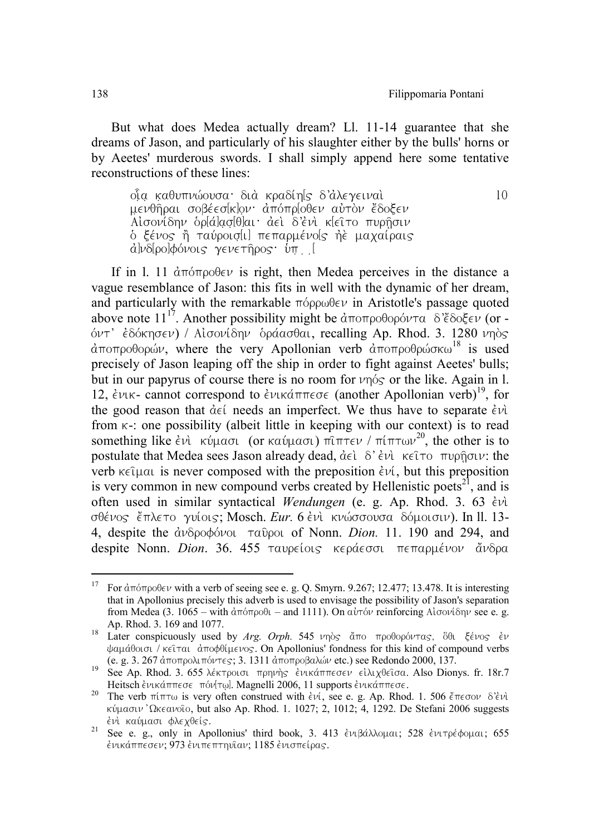But what does Medea actually dream? Ll. 11-14 guarantee that she dreams of Jason, and particularly of his slaughter either by the bulls' horns or by Aeetes' murderous swords. I shall simply append here some tentative reconstructions of these lines:

oἶa καθυπνώουσα· διὰ κραδίη[ς δ'ἀλεγειναὶ; 10 mevθήραι σοβέεσ<sup>κ</sup>ιον· απόπριοθεν αυτον έδοξεν Aισονίδην δρ[ά]ασ[θ]αι· αει δ'ενι κ[ειτο πυρήσιν δ ξένος ή ταύροισ[ι] πεπαρμένο[ς ήὲ μαχαίραις d)v8[ρο]φόνοις γενετήρος ύπ. [

If in 1. 11  $\text{drift}$  is right, then Medea perceives in the distance a vague resemblance of Jason: this fits in well with the dynamic of her dream, and particularly with the remarkable  $\pi \circ \rho \circ \psi$  in Aristotle's passage quoted above note  $11^{17}$ . Another possibility might be  $\alpha \in \text{Tr}(\cos \theta)$  and  $\alpha \in \text{Tr}(\cos \theta)$  (or - $\delta v$ <sup>†</sup>  $\epsilon$ δόκησεν) / Αισονίδην δράασθαι, recalling Ap. Rhod. 3. 1280 νηδς  $d$ ποπροθορών, where the very Apollonian verb  $d$ ποπροθρώσκω<sup>18</sup> is used precisely of Jason leaping off the ship in order to fight against Aeetes' bulls; but in our papyrus of course there is no room for  $\nu$ nover or the like. Again in l. 12,  $\epsilon v_{\rm i}$  cannot correspond to  $\epsilon v_{\rm i}$   $\epsilon w_{\rm i}$  (another Apollonian verb)<sup>19</sup>, for the good reason that  $\det$  needs an imperfect. We thus have to separate  $\det$ from  $k-$ : one possibility (albeit little in keeping with our context) is to read something like  $\epsilon v$   $\hat{k}v$   $\hat{k}v$   $\hat{k}v$  (or  $\kappa\alpha\hat{v}\mu\alpha\sigma\hat{k}$ )  $\hat{n}$  $\hat{l}$  $\hat{l}$  $\hat{m}$   $\tau\epsilon\nu$  /  $\pi(\pi\tau\omega\nu^{20})$ , the other is to postulate that Medea sees Jason already dead,  $\hat{\alpha} \in \delta' \hat{\epsilon}$ νὶ κεῖτο πυρῆσιν: the verb  $\kappa \in \Omega$  is never composed with the preposition  $\epsilon \nu \ell$ , but this preposition is very common in new compound verbs created by Hellenistic poets<sup>21</sup>, and is often used in similar syntactical *Wendungen* (e. g. Ap. Rhod. 3. 63  $\epsilon v$ ); σθένος *έπλετο γυίοις: Mosch <i>Eur.* 6 ενι κνώσσουσα δόμοισιν). In ll. 13-4, despite the  $\partial \nu \partial \rho \partial \phi$  of Nonn. *Dion.* 11. 190 and 294, and despite Nonn. *Dion.* 36. 455 ταυρείοις κεράεσσι πεπαρμένον ἄνδρα

<sup>&</sup>lt;sup>17</sup> For  $\alpha \pi \sigma \sigma \rho \partial \epsilon \nu$  with a verb of seeing see e. g. Q. Smyrn. 9.267; 12.477; 13.478. It is interesting that in Apollonius precisely this adverb is used to envisage the possibility of Jason's separation from Medea (3.  $1065 -$  with  $d\pi$  order – and 1111). On  $\alpha \nu$  reinforcing Algovi $\delta \nu$  see e. g.

Ap. Rhod. 3. 169 and 1077. 18 Later conspicuously used by *Arg. Orph.* 545 *vn*òς άπο προθορόντας, <sup>δθι</sup> ξένος εν ψαμάθοισι / κείται αποφθίμενος. On Apollonius' fondness for this kind of compound verbs (e. g. 3. 267 αποποολιπόντες: 3. 1311 αποποοβαλών etc.) see Redondo 2000. 137.

<sup>(</sup>e. g. 3. 267 αποτροποιον τες.) 3. 1311 αποτρετεπικά τους.<br>19 See Ap. Rhod. 3. 655 λέκτροισι πρηγής ένικάππεσεν είλιχθείσα. Also Dionys. fr. 18r.7<br>19 Heitsch ένικάππεσε πόνΙτω!. Magnelli 2006. 11 supports ένικάππεσε.

Heitsch e $\nu$ twannebe novn egnikavit 2006, 11 supports examined and 1. 506 eπεσον δ'evice The verb πίπτω is very often construed with evic, see e. g. Ap. Rhod. 1. 506 eπεσον δ'eνi κύμασιν 'Ωκεανοιο, but also Ap. Rhod. 1. 1027; 2, 1012; 4, 1292. De Stefani 2006 suggests

*ενι καύμασι φλεχθείς.* 21 See e. g., only in Apollonius' third book, 3. 413 ενιβάλλομαι; 528 ενιτρέφομαι; 655  $\epsilon$ νικάππεσεν; 973  $\epsilon$ νιπεπτηυΐαν; 1185  $\epsilon$ νισπείρας.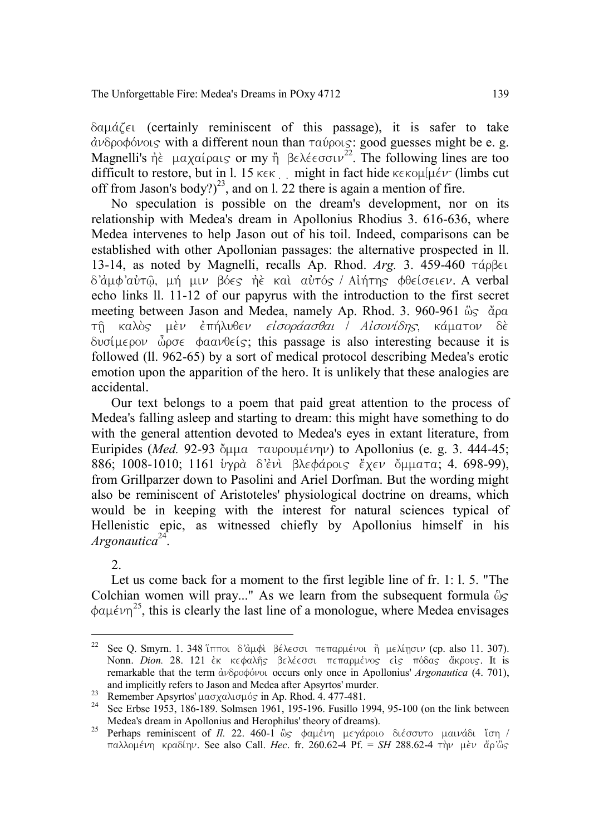$\delta$ au $d\zeta$ <sub>El</sub> (certainly reminiscent of this passage), it is safer to take  $d\nu\delta\rho\circ\phi\circ\nu$ ous with a different noun than  $\tau\alpha\circ\rho\circ\iota$ : good guesses might be e. g. Magnelli's  $\hat{\eta}$   $\hat{\epsilon}$  μαχαίραις or my  $\hat{\eta}$  βελέεσσιν<sup>22</sup>. The following lines are too difficult to restore, but in l. 15 kek  $\Box$  might in fact hide kekouluev (limbs cut off from Jason's body?)<sup>23</sup>, and on l. 22 there is again a mention of fire.

No speculation is possible on the dream's development, nor on its relationship with Medea's dream in Apollonius Rhodius 3. 616-636, where Medea intervenes to help Jason out of his toil. Indeed, comparisons can be established with other Apollonian passages: the alternative prospected in ll. 13-14, as noted by Magnelli, recalls Ap. Rhod.  $Arg.$  3. 459-460  $\tau$ *áp* $\beta \epsilon$  $\delta'$ άμφ'αὐτῶ, μή μιν βόες ήὲ καὶ αὐτός / Aiήτης φθείσειεν. A verbal echo links ll. 11-12 of our papyrus with the introduction to the first secret meeting between Jason and Medea, namely Ap. Rhod. 3. 960-961  $\delta s \delta \rho \alpha$ τη καλός μέν επήλυθεν είσοράασθαι *Ι Αίσονίδης*, κάματον δέ  $\delta v \sigma (\mu \epsilon)$   $\delta \rho \sigma \epsilon$   $\phi a \alpha v \theta \epsilon$  (s); this passage is also interesting because it is followed (ll. 962-65) by a sort of medical protocol describing Medea's erotic emotion upon the apparition of the hero. It is unlikely that these analogies are accidental.

Our text belongs to a poem that paid great attention to the process of Medea's falling asleep and starting to dream: this might have something to do with the general attention devoted to Medea's eyes in extant literature, from Euripides (*Med.* 92-93  $\delta$ <sub>μμα</sub> ταυρουμένην) to Apollonius (e. g. 3. 444-45; 886; 1008-1010; 1161 ύγρὰ δ'ἐνὶ βλεφάροις ἔχεν ὄμματα; 4, 698-99), from Grillparzer down to Pasolini and Ariel Dorfman. But the wording might also be reminiscent of Aristoteles' physiological doctrine on dreams, which would be in keeping with the interest for natural sciences typical of Hellenistic epic, as witnessed chiefly by Apollonius himself in his *Argonautica*24.

 $2^{\circ}$ 

Let us come back for a moment to the first legible line of fr. 1: l. 5. "The Colchian women will pray..." As we learn from the subsequent formula  $\delta s$  $\phi a\mu \epsilon \nu \eta^{25}$ , this is clearly the last line of a monologue, where Medea envisages

<sup>&</sup>lt;sup>22</sup> See Q. Smyrn. 1. 348 'ίπποι δ'άμφι βέλεσσι πεπαρμένοι ή μελίησιν (cp. also 11. 307). Nonn. *Dion.* 28. 121 έκ κεφαλής βελέεσσι πεπαρμένος είς πόδας ἄκρους. It is remarkable that the term *ανδροφόνοι* occurs only once in Apollonius' *Argonautica* (4. 701), and implicitly refers to Jason and Medea after Apsyrtos' murder.

and implicitly refers to Jason and Medea after Apsyrtos' murder.<br><sup>23</sup> Remember Apsyrtos'  $\mu a \sigma \chi a \lambda \sigma \mu \delta s$  in Ap. Rhod. 4. 477-481.<br><sup>24</sup> See Erbse 1953, 186-189. Solmsen 1961, 195-196. Fusillo 1994, 95-100 (on the link

Medea's dream in Apollonius and Herophilus' theory of dreams).<br><sup>25</sup> Perhaps reminiscent of *Il.* 22. 460-1 ὣς φαμένη μεγάροιο διέσσυτο μαινάδι ἴση / pallometring knadiny. See also Call. *Hec.* fr. 260.62-4 Pf. = *SH* 288.62-4 την μεν άρ'ως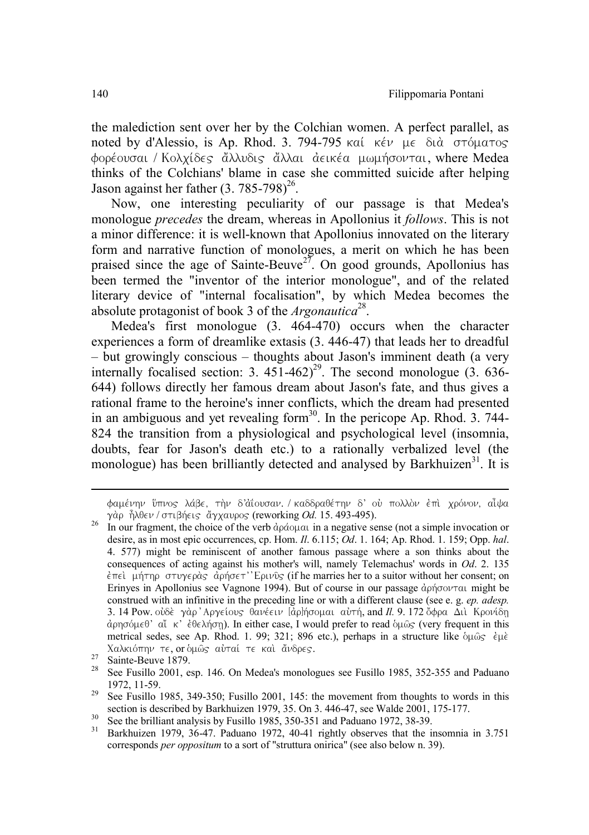the malediction sent over her by the Colchian women. A perfect parallel, as noted by d'Alessio, is Ap. Rhod. 3. 794-795 kai kév  $\mu \in \delta$ tà στόματος φορέουσαι / Κολχίδες ἄλλυδις ἄλλαι ἀεικέα μωμήσονται, where Medea thinks of the Colchians' blame in case she committed suicide after helping Jason against her father  $(3, 785-798)^{26}$ .

Now, one interesting peculiarity of our passage is that Medea's monologue *precedes* the dream, whereas in Apollonius it *follows*. This is not a minor difference: it is well-known that Apollonius innovated on the literary form and narrative function of monologues, a merit on which he has been praised since the age of Sainte-Beuve<sup>27</sup>. On good grounds, Apollonius has been termed the "inventor of the interior monologue", and of the related literary device of "internal focalisation", by which Medea becomes the absolute protagonist of book 3 of the *Argonautica*28.

Medea's first monologue (3. 464-470) occurs when the character experiences a form of dreamlike extasis (3. 446-47) that leads her to dreadful – but growingly conscious – thoughts about Jason's imminent death (a very internally focalised section: 3.  $451-462$ <sup>29</sup>. The second monologue (3. 636-644) follows directly her famous dream about Jason's fate, and thus gives a rational frame to the heroine's inner conflicts, which the dream had presented in an ambiguous and yet revealing form<sup>30</sup>. In the pericope Ap. Rhod. 3. 744-824 the transition from a physiological and psychological level (insomnia, doubts, fear for Jason's death etc.) to a rationally verbalized level (the monologue) has been brilliantly detected and analysed by Barkhuizen<sup>31</sup>. It is

 $\overline{a}$ 

φαμένην ὕπνος λάβε, τὴν δ'ἀΐουσαν. / καδδραθέτην δ' οὐ πολλὸν ἐπὶ χρόνον, αἶψα<br>γὰο ἦλθεν / στιβήεις ἄγχαυρος (reworking Od. 15.493-495).

<sup>&</sup>lt;sup>26</sup> In our fragment, the choice of the verb αράσμαι in a negative sense (not a simple invocation or desire, as in most epic occurrences, cp. Hom. *Il*. 6.115; *Od*. 1. 164; Ap. Rhod. 1. 159; Opp. *hal*. 4. 577) might be reminiscent of another famous passage where a son thinks about the consequences of acting against his mother's will, namely Telemachus' words in *Od*. 2. 135  $\epsilon$ πε), μήτηρ στυγερὰς, ἀρήσετ'' Ερινῦς (if he marries her to a suitor without her consent; on Erinyes in Apollonius see Vagnone 1994). But of course in our passage  $\dot{\alpha}$  of  $\dot{\alpha}$  might be construed with an infinitive in the preceding line or with a different clause (see e. g. *ep. adesp.* 3. 14 Pow.  $\partial \delta \delta \epsilon$   $\gamma \dot{\alpha} \rho' \Delta \rho \gamma \epsilon (\omega \sigma) \vec{\delta} \alpha \nu \epsilon \epsilon \nu$  [ $\dot{\alpha} \rho$ ] $\dot{\beta} \rho \sigma \alpha \alpha \nu \tau \dot{\gamma}$ , and *Il.* 9. 172  $\dot{\delta} \phi \rho \alpha$   $\Delta \iota \dot{\alpha}$  Kpov( $\dot{\delta} \eta$ αρησόμεθ' αϊ κ' έθελήση). In either case, I would prefer to read ομῶς (very frequent in this metrical sedes, see Ap. Rhod. 1. 99; 321; 896 etc.), perhaps in a structure like  $\delta \mu \hat{\omega}$ s et  $\mu \hat{\epsilon}$ 

Xαλκιόπην τε, or όμως αυταί τε και άνδρες.<br><sup>27</sup> Sainte-Beuve 1879.<br><sup>28</sup> See Fusillo 2001, esp. 146. On Medea's monologues see Fusillo 1985, 352-355 and Paduano

<sup>1972, 11-59.&</sup>lt;br><sup>29</sup> See Fusillo 1985, 349-350; Fusillo 2001, 145: the movement from thoughts to words in this section is described by Barkhuizen 1979. 35. On 3. 446-47, see Walde 2001, 175-177.

See the brilliant analysis by Fusillo 1985, 350-351 and Pat, see water 2001, 173-177.<br>
<sup>30</sup> See the brilliant analysis by Fusillo 1985, 350-351 and Paduano 1972, 38-39.<br>
<sup>31</sup> Barkhuizen 1979, 36-47. Paduano 1972, 40-41 ri corresponds *per oppositum* to a sort of "struttura onirica" (see also below n. 39).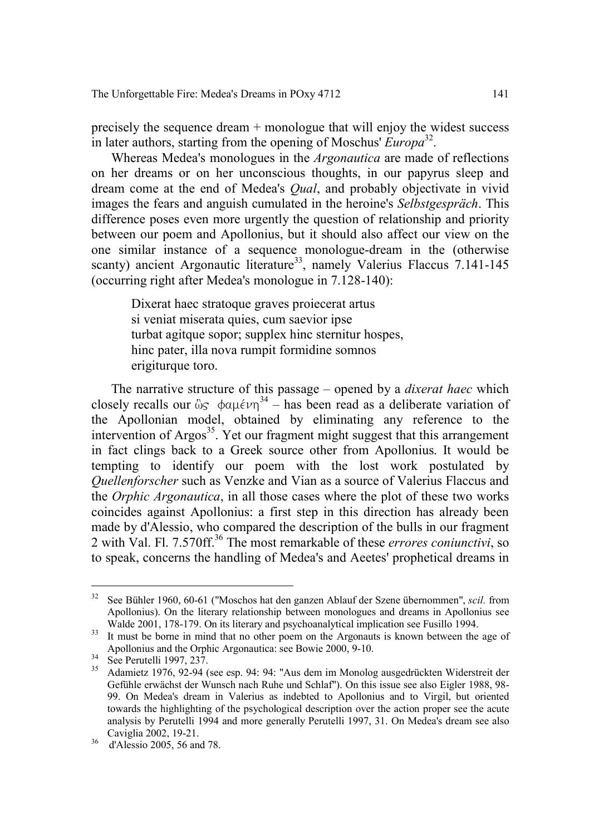precisely the sequence dream + monologue that will enjoy the widest success in later authors, starting from the opening of Moschus' *Europa*<sup>32</sup>.

Whereas Medea's monologues in the *Argonautica* are made of reflections on her dreams or on her unconscious thoughts, in our papyrus sleep and dream come at the end of Medea's *Qual*, and probably objectivate in vivid images the fears and anguish cumulated in the heroine's *Selbstgespräch*. This difference poses even more urgently the question of relationship and priority between our poem and Apollonius, but it should also affect our view on the one similar instance of a sequence monologue-dream in the (otherwise scanty) ancient Argonautic literature<sup>33</sup>, namely Valerius Flaccus 7.141-145 (occurring right after Medea's monologue in 7.128-140):

Dixerat haec stratoque graves proiecerat artus si veniat miserata quies, cum saevior ipse turbat agitque sopor; supplex hinc sternitur hospes, hinc pater, illa nova rumpit formidine somnos erigiturque toro.

The narrative structure of this passage – opened by a *dixerat haec* which closely recalls our  $\mathcal{E}_{\mathcal{S}}$   $\phi a\mu \epsilon \nu \eta^{34}$  – has been read as a deliberate variation of the Apollonian model, obtained by eliminating any reference to the intervention of Argos<sup>35</sup>. Yet our fragment might suggest that this arrangement in fact clings back to a Greek source other from Apollonius. It would be tempting to identify our poem with the lost work postulated by *Quellenforscher* such as Venzke and Vian as a source of Valerius Flaccus and the *Orphic Argonautica*, in all those cases where the plot of these two works coincides against Apollonius: a first step in this direction has already been made by d'Alessio, who compared the description of the bulls in our fragment 2 with Val. Fl. 7.570ff.36 The most remarkable of these *errores coniunctivi*, so to speak, concerns the handling of Medea's and Aeetes' prophetical dreams in

 <sup>32</sup> See Bühler 1960, 60-61 ("Moschos hat den ganzen Ablauf der Szene übernommen", *scil.* from Apollonius). On the literary relationship between monologues and dreams in Apollonius see Walde 2001, 178-179. On its literary and psychoanalytical implication see Fusillo 1994.

Walde 2001, 170-179. On its literary and psychoanalytical implication see Fusion see Fusion see Fusion see Fusion see Fusion see Fusion see Fusion see Fusion see Fusion see Fusion see Fusion see Fusion see Fusion see Fusi

Apollonius and the Orphic Argonautica: see Borutelli 1997, 237.<br>
35 Adamietz 1976, 92-94 (see esp. 94: 94: "Aus dem im Monolog ausgedrückten Widerstreit der Gefühle erwächst der Wunsch nach Ruhe und Schlaf"). On this issue see also Eigler 1988, 98- 99. On Medea's dream in Valerius as indebted to Apollonius and to Virgil, but oriented towards the highlighting of the psychological description over the action proper see the acute analysis by Perutelli 1994 and more generally Perutelli 1997, 31. On Medea's dream see also

 $36$  d'Alessio 2005, 56 and 78.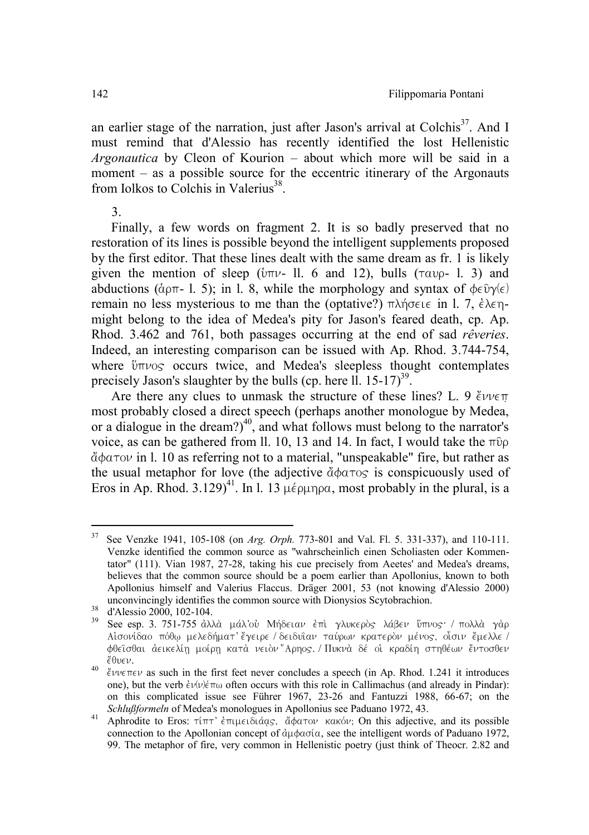an earlier stage of the narration, just after Jason's arrival at Colchis<sup>37</sup>. And I must remind that d'Alessio has recently identified the lost Hellenistic *Argonautica* by Cleon of Kourion – about which more will be said in a moment – as a possible source for the eccentric itinerary of the Argonauts from Jolkos to Colchis in Valerius $^{38}$ .

3.

Finally, a few words on fragment 2. It is so badly preserved that no restoration of its lines is possible beyond the intelligent supplements proposed by the first editor. That these lines dealt with the same dream as fr. 1 is likely given the mention of sleep ( $\text{im}\nu$ - ll. 6 and 12), bulls ( $\tau \alpha \nu \rho$ - l. 3) and abductions ( $\alpha_{0}$ - l. 5); in l. 8, while the morphology and syntax of  $\alpha \in \partial \gamma(\epsilon)$ remain no less mysterious to me than the (optative?)  $\pi\lambda\eta\sigma\epsilon\iota\epsilon$  in l. 7,  $\dot{\epsilon}\lambda\epsilon\eta$ might belong to the idea of Medea's pity for Jason's feared death, cp. Ap. Rhod. 3.462 and 761, both passages occurring at the end of sad *rêveries*. Indeed, an interesting comparison can be issued with Ap. Rhod. 3.744-754, where  $\theta$   $\theta$  occurs twice, and Medea's sleepless thought contemplates precisely Jason's slaughter by the bulls (cp. here  $11. 15-17$ )<sup>39</sup>.

Are there any clues to unmask the structure of these lines? L. 9  $\ell v \nu \in \pi$ most probably closed a direct speech (perhaps another monologue by Medea, or a dialogue in the dream?)<sup>40</sup>, and what follows must belong to the narrator's voice, as can be gathered from ll. 10, 13 and 14. In fact, I would take the  $\pi$  0  $\ddot{\alpha}$  $\phi$  $\alpha$ <sup>T</sup>ov in l. 10 as referring not to a material, "unspeakable" fire, but rather as the usual metaphor for love (the adjective  $\ddot{\alpha}\phi$  $\alpha\tau$  os is conspicuously used of Eros in Ap. Rhod. 3.129)<sup>41</sup>. In l. 13  $\mu \epsilon \rho \mu \eta \rho \alpha$ , most probably in the plural, is a

 <sup>37</sup> See Venzke 1941, 105-108 (on *Arg. Orph.* 773-801 and Val. Fl. 5. 331-337), and 110-111. Venzke identified the common source as "wahrscheinlich einen Scholiasten oder Kommentator" (111). Vian 1987, 27-28, taking his cue precisely from Aeetes' and Medea's dreams, believes that the common source should be a poem earlier than Apollonius, known to both Apollonius himself and Valerius Flaccus. Dräger 2001, 53 (not knowing d'Alessio 2000)

unconvincingly identifies the common source with Dionysion. 38 d'Alessio 2000, 102-104. 39 See esp. 3. 751-755 άλλὰ μάλ'οὐ Μήδειαν ἐπὶ γλυκερὸς λάβεν ὕπνος: / πολλὰ γὰρ Aισονίδαο πόθω μελεδήματ' έγειρε / δειδυἳαν ταύρων κρατερὸν μένος, οἶσιν ἔμελλε / φθεῖσθαι ἀεικελίῃ μοίρῃ κατὰ νειὸν"Αρηος./Πυκνὰ δέ οἱ κραδίη στηθέων ἔντοσθεν<br>ἔθυεν

<sup>&</sup>lt;sup>40</sup>  $\epsilon v \nu \epsilon \pi \epsilon v$  as such in the first feet never concludes a speech (in Ap. Rhod. 1.241 it introduces one), but the verb  $\dot{\epsilon}v(v)\dot{\epsilon}\pi\omega$  often occurs with this role in Callimachus (and already in Pindar): on this complicated issue see Führer 1967, 23-26 and Fantuzzi 1988, 66-67; on the *Schlußformeln* of Medea's monologues in Apollonius see Paduano 1972, 43.

*Al* Aphrodite to Eros: τίπτ' επιμειδιάας, άφατον κακόν; On this adjective, and its possible connection to the Apollonian concept of  $\partial \mu \phi$  as a see the intelligent words of Paduano 1972, 99. The metaphor of fire, very common in Hellenistic poetry (just think of Theocr. 2.82 and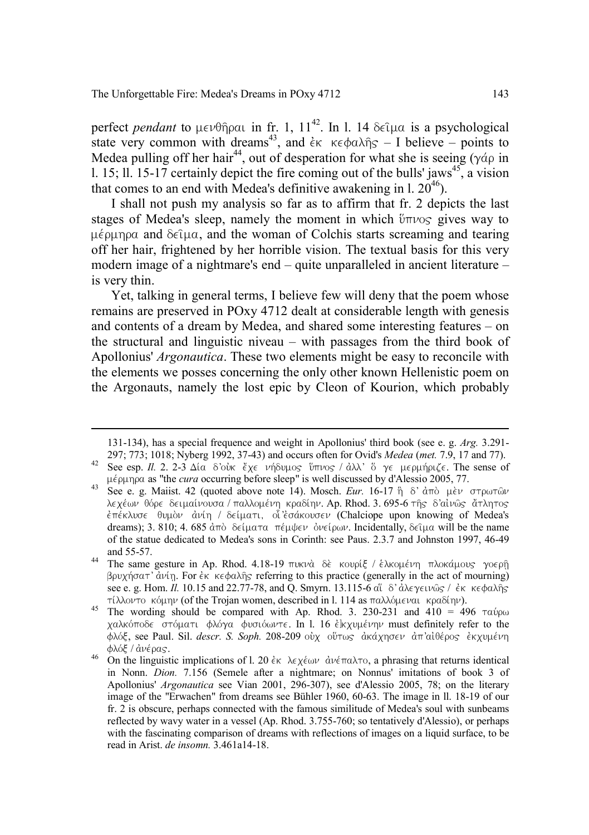perfect *pendant* to  $\mu \in \nu \theta$  $\hat{\eta}$  pair in fr. 1, 11<sup>42</sup>. In l. 14  $\delta \in \hat{\mu}$  is a psychological state very common with dreams<sup>43</sup>, and  $\epsilon$ <sub>K</sub>  $\epsilon$   $\epsilon$   $\phi$ a $\lambda$  $\hat{n}$ s – I believe – points to Medea pulling off her hair<sup>44</sup>, out of desperation for what she is seeing ( $\gamma \dot{\alpha}$ ) in l. 15; ll. 15-17 certainly depict the fire coming out of the bulls' jaws<sup>45</sup>, a vision that comes to an end with Medea's definitive awakening in  $1,20^{46}$ .

I shall not push my analysis so far as to affirm that fr. 2 depicts the last stages of Medea's sleep, namely the moment in which  $\mathcal{U}_{T\text{UVO}}$  gives way to  $\mu \epsilon$  punpa and  $\delta \epsilon \tilde{\mu}$  and the woman of Colchis starts screaming and tearing off her hair, frightened by her horrible vision. The textual basis for this very modern image of a nightmare's end – quite unparalleled in ancient literature – is very thin.

Yet, talking in general terms, I believe few will deny that the poem whose remains are preserved in POxy 4712 dealt at considerable length with genesis and contents of a dream by Medea, and shared some interesting features – on the structural and linguistic niveau – with passages from the third book of Apollonius' *Argonautica*. These two elements might be easy to reconcile with the elements we posses concerning the only other known Hellenistic poem on the Argonauts, namely the lost epic by Cleon of Kourion, which probably

 <sup>131-134),</sup> has a special frequence and weight in Apollonius' third book (see e. g. *Arg.* 3.291-

<sup>297;</sup> *1018; 1019; 1019; 1018; 1019; 1019; 1019; 1019; 1019; 1019; 1019; 1019; 1019; 1019; 1019; 1019; 1019; 10*<br>42 See esp. *II.* 2. 2-3 Δία δ`ούκ έξε νήδυμος <sup>8</sup>ύπνος / άλλ' δ γε μερμήριζε. The sense of<br>42 Dividen as "t

the prepription as "the *cura*" occurring before sleep" is well discussed by d'Alessio 2005, 77.<br>43 See e. g. Maiist. 42 (quoted above note 14). Mosch. *Eur*. 16-17 h δ' ἀπὸ μὲν στρωτῶν λεχέων θόρε δειμαίνουσα / παλλομένη κραδίην. Ap. Rhod. 3. 695-6 της δ'αίνως άτλητος  $\epsilon$ πέκλυσε θυμὸν ἀνίη / δείματι, οἶ'εσάκουσεν (Chalciope upon knowing of Medea's dreams); 3. 810; 4. 685  $d\pi\delta$  δείματα πέμψεν ονείρων. Incidentally, δείμα will be the name of the statue dedicated to Medea's sons in Corinth: see Paus. 2.3.7 and Johnston 1997, 46-49 and 55-57.

<sup>&</sup>lt;sup>44</sup> The same gesture in Ap. Rhod. 4.18-19  $\pi$ vkvà de; kovolé / έλκομένη πλοκάμους γοερή bruchvsat∆ ajnivh/. For ejk kefalh'" referring to this practice (generally in the act of mourning) see e. g. Hom. *Il.* 10.15 and 22.77-78, and Q. Smyrn. 13.115-6 α<sup>''</sup> δ' ἀλεγεινῶς / ἐκ κεφαλῆς τίλλοντο κόμην (of the Trojan women, described in l. 114 as παλλόμεναι κραδίην).

<sup>&</sup>lt;sup>45</sup> The wording should be compared with Ap. Rhod. 3. 230-231 and  $410 = 496$   $\pi a \nu \rho \omega$ χαλκόποδε στόματι φλόγα φυσιόωντε. In l. 16 ε]κχυμένην must definitely refer to the  $f$ φλόξ, see Paul. Sil. *descr. S. Soph.* 208-209 ουχ ούτως ακάχησεν απ'αιθέρος εκχυμένη  $\phi \lambda_0 \xi / \dot{\alpha} \nu \epsilon \rho \alpha_S$ .<br><sup>46</sup> On the linguistic implications of l. 20  $\dot{\epsilon}$ <sub>K</sub>  $\lambda \epsilon \nu \epsilon_0 \nu \partial \nu \dot{\alpha} \nu \epsilon \pi \alpha \lambda$  a phrasing that returns identical

in Nonn. *Dion.* 7.156 (Semele after a nightmare; on Nonnus' imitations of book 3 of Apollonius' *Argonautica* see Vian 2001, 296-307), see d'Alessio 2005, 78; on the literary image of the "Erwachen" from dreams see Bühler 1960, 60-63. The image in ll. 18-19 of our fr. 2 is obscure, perhaps connected with the famous similitude of Medea's soul with sunbeams reflected by wavy water in a vessel (Ap. Rhod. 3.755-760; so tentatively d'Alessio), or perhaps with the fascinating comparison of dreams with reflections of images on a liquid surface, to be read in Arist. *de insomn.* 3.461a14-18.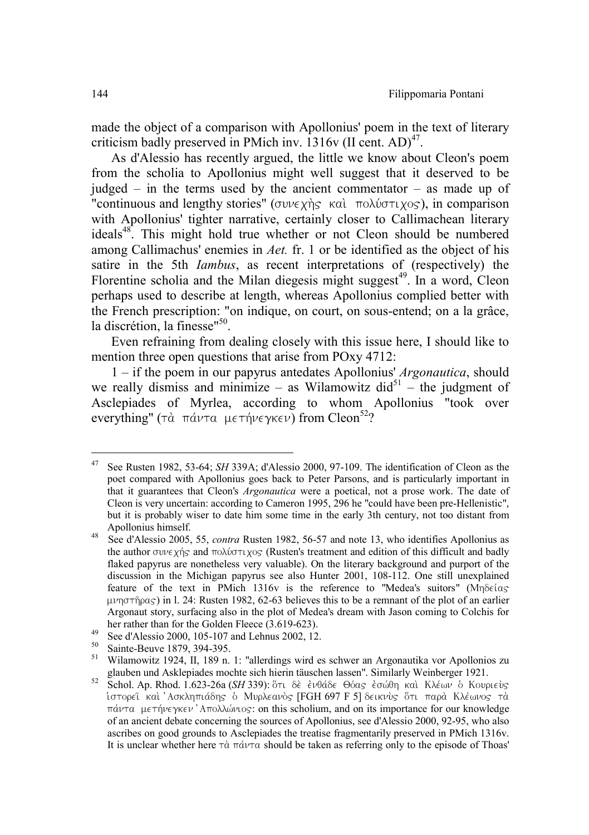made the object of a comparison with Apollonius' poem in the text of literary criticism badly preserved in PMich inv.  $1316v$  (II cent. AD)<sup>47</sup>.

As d'Alessio has recently argued, the little we know about Cleon's poem from the scholia to Apollonius might well suggest that it deserved to be judged – in the terms used by the ancient commentator – as made up of "continuous and lengthy stories" ( $\sigma v \in \chi \gamma$ ) kai;  $\pi \circ \lambda \circ \sigma \tau \circ \chi$ ), in comparison with Apollonius' tighter narrative, certainly closer to Callimachean literary ideals<sup>48</sup>. This might hold true whether or not Cleon should be numbered among Callimachus' enemies in *Aet.* fr. 1 or be identified as the object of his satire in the 5th *Iambus*, as recent interpretations of (respectively) the Florentine scholia and the Milan diegesis might suggest<sup>49</sup>. In a word, Cleon perhaps used to describe at length, whereas Apollonius complied better with the French prescription: "on indique, on court, on sous-entend; on a la grâce, la discrétion, la finesse"<sup>50</sup>.

Even refraining from dealing closely with this issue here, I should like to mention three open questions that arise from POxy 4712:

1 – if the poem in our papyrus antedates Apollonius' *Argonautica*, should we really dismiss and minimize – as Wilamowitz did $^{51}$  – the judgment of Asclepiades of Myrlea, according to whom Apollonius "took over everything" ( $\tau$ à  $\pi$ á $\nu\tau\alpha$  μετήνεγκεν) from Cleon<sup>52</sup>?

 <sup>47</sup> See Rusten 1982, 53-64; *SH* 339A; d'Alessio 2000, 97-109. The identification of Cleon as the poet compared with Apollonius goes back to Peter Parsons, and is particularly important in that it guarantees that Cleon's *Argonautica* were a poetical, not a prose work. The date of Cleon is very uncertain: according to Cameron 1995, 296 he "could have been pre-Hellenistic", but it is probably wiser to date him some time in the early 3th century, not too distant from

Apollonius himself. 48 See d'Alessio 2005, 55, *contra* Rusten 1982, 56-57 and note 13, who identifies Apollonius as the author  $\sigma v \nu \epsilon \chi$  is and  $\pi \omega \chi \nu \gamma \chi \gamma \epsilon$  (Rusten's treatment and edition of this difficult and badly flaked papyrus are nonetheless very valuable). On the literary background and purport of the discussion in the Michigan papyrus see also Hunter 2001, 108-112. One still unexplained feature of the text in PMich 1316y is the reference to "Medea's suitors" ( $Mn\delta\epsilon$ ( $a\varsigma$ ) uprogram in l. 24: Rusten 1982, 62-63 believes this to be a remnant of the plot of an earlier Argonaut story, surfacing also in the plot of Medea's dream with Jason coming to Colchis for

<sup>&</sup>lt;sup>49</sup> her rather than for the Golden Fleece (3.619-623).<br><sup>50</sup> See d'Alessio 2000, 105-107 and Lehnus 2002, 12.<br><sup>50</sup> Sainte-Beuve 1879, 394-395.<br><sup>51</sup> Wilamowitz 1924, II, 189 n. 1: "allerdings wird es schwer an Argonautika

glauben und Askiepiades moeine sich mehm täuschen lassen . Similarly Weinberger 1921.<br><sup>52</sup> Schol. Ap. Rhod. 1.623-26a (*SH* 339): ὅτι δὲ ἐνθάδε Θόας ἐσώθη καὶ Κλέων ὁ Κουριεὺς ίστορεί και 'Ασκληπιάδης ο Μυρλεανός [FGH 697 F 5] δεικνύς ότι παρά Κλέωνος τα  $πάντα$  μετήνεγκεν' Aπολλώνιος: on this scholium, and on its importance for our knowledge of an ancient debate concerning the sources of Apollonius, see d'Alessio 2000, 92-95, who also ascribes on good grounds to Asclepiades the treatise fragmentarily preserved in PMich 1316v. It is unclear whether here  $\tau \dot{\alpha}$   $\pi \dot{\alpha} \nu \tau \alpha$  should be taken as referring only to the episode of Thoas'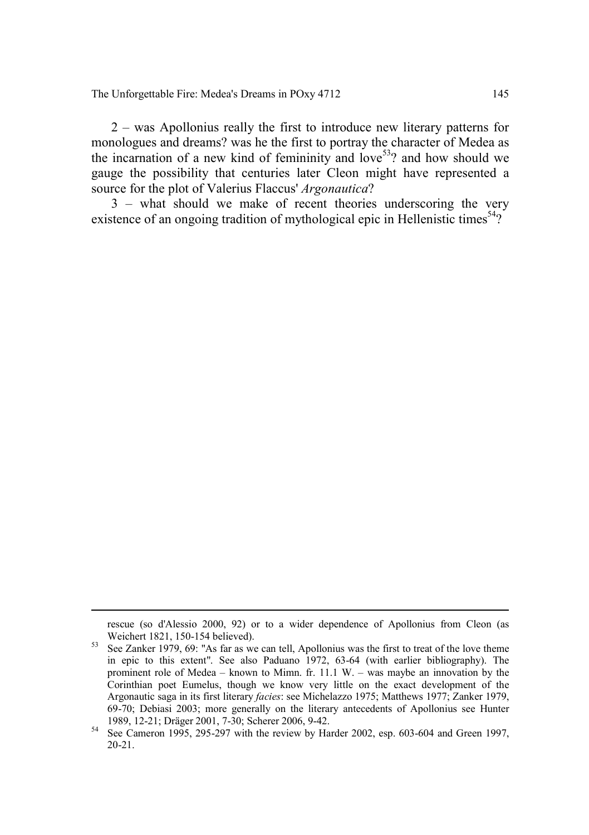The Unforgettable Fire: Medea's Dreams in POxy 4712 145

2 – was Apollonius really the first to introduce new literary patterns for monologues and dreams? was he the first to portray the character of Medea as the incarnation of a new kind of femininity and love<sup>53</sup>? and how should we gauge the possibility that centuries later Cleon might have represented a source for the plot of Valerius Flaccus' *Argonautica*?

3 – what should we make of recent theories underscoring the very existence of an ongoing tradition of mythological epic in Hellenistic times<sup>54</sup>?

rescue (so d'Alessio 2000, 92) or to a wider dependence of Apollonius from Cleon (as

Sa See Zanker 1979, 69: "As far as we can tell, Apollonius was the first to treat of the love theme in epic to this extent". See also Paduano 1972, 63-64 (with earlier bibliography). The prominent role of Medea – known to Mimn. fr. 11.1 W. – was maybe an innovation by the Corinthian poet Eumelus, though we know very little on the exact development of the Argonautic saga in its first literary *facies*: see Michelazzo 1975; Matthews 1977; Zanker 1979, 69-70; Debiasi 2003; more generally on the literary antecedents of Apollonius see Hunter 1989, 12-21; Dräger 2001, 7-30; Scherer 2006, 9-42. <sup>54</sup> See Cameron 1995, 295-297 with the review by Harder 2002, esp. 603-604 and Green 1997,

<sup>20-21.</sup>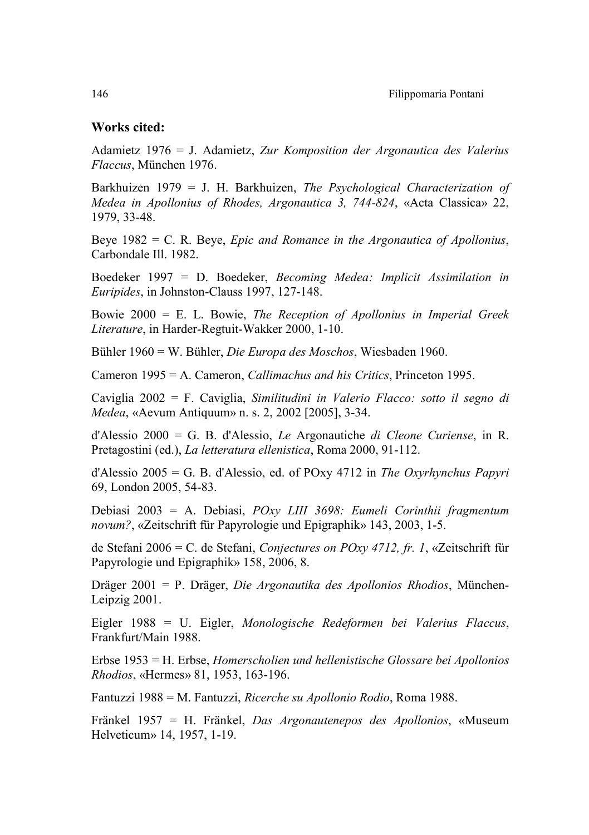## Works cited:

Adamietz 1976 = J. Adamietz, *Zur Komposition der Argonautica des Valerius Flaccus*, München 1976.

Barkhuizen 1979 = J. H. Barkhuizen, *The Psychological Characterization of Medea in Apollonius of Rhodes, Argonautica 3, 744-824*, «Acta Classica» 22, 1979, 33-48.

Beye 1982 = C. R. Beye, *Epic and Romance in the Argonautica of Apollonius*, Carbondale Ill. 1982.

Boedeker 1997 = D. Boedeker, *Becoming Medea: Implicit Assimilation in Euripides*, in Johnston-Clauss 1997, 127-148.

Bowie 2000 = E. L. Bowie, *The Reception of Apollonius in Imperial Greek Literature*, in Harder-Regtuit-Wakker 2000, 1-10.

Bühler 1960 = W. Bühler, *Die Europa des Moschos*, Wiesbaden 1960.

Cameron 1995 = A. Cameron, *Callimachus and his Critics*, Princeton 1995.

Caviglia 2002 = F. Caviglia, *Similitudini in Valerio Flacco: sotto il segno di Medea*, «Aevum Antiquum» n. s. 2, 2002 [2005], 3-34.

d'Alessio 2000 = G. B. d'Alessio, *Le* Argonautiche *di Cleone Curiense*, in R. Pretagostini (ed.), *La letteratura ellenistica*, Roma 2000, 91-112.

d'Alessio 2005 = G. B. d'Alessio, ed. of POxy 4712 in *The Oxyrhynchus Papyri* 69, London 2005, 54-83.

Debiasi 2003 = A. Debiasi, *POxy LIII 3698: Eumeli Corinthii fragmentum novum?*, «Zeitschrift für Papyrologie und Epigraphik» 143, 2003, 1-5.

de Stefani 2006 = C. de Stefani, *Conjectures on POxy 4712, fr. 1*, «Zeitschrift für Papyrologie und Epigraphik» 158, 2006, 8.

Dräger 2001 = P. Dräger, *Die Argonautika des Apollonios Rhodios*, München-Leipzig 2001.

Eigler 1988 = U. Eigler, *Monologische Redeformen bei Valerius Flaccus*, Frankfurt/Main 1988.

Erbse 1953 = H. Erbse, *Homerscholien und hellenistische Glossare bei Apollonios Rhodios*, «Hermes» 81, 1953, 163-196.

Fantuzzi 1988 = M. Fantuzzi, *Ricerche su Apollonio Rodio*, Roma 1988.

Fränkel 1957 = H. Fränkel, *Das Argonautenepos des Apollonios*, «Museum Helveticum» 14, 1957, 1-19.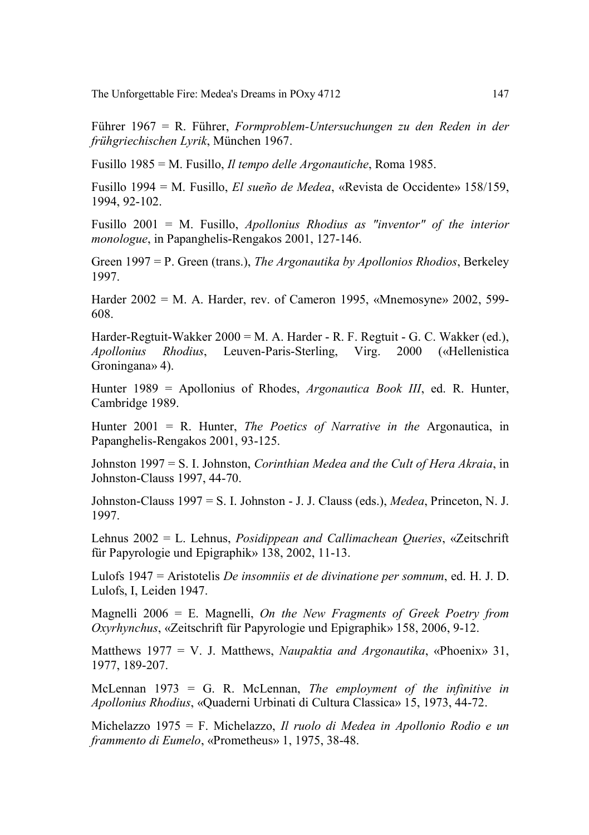The Unforgettable Fire: Medea's Dreams in POxy 4712 147

Führer 1967 = R. Führer, *Formproblem-Untersuchungen zu den Reden in der frühgriechischen Lyrik*, München 1967.

Fusillo 1985 = M. Fusillo, *Il tempo delle Argonautiche*, Roma 1985.

Fusillo 1994 = M. Fusillo, *El sueño de Medea*, «Revista de Occidente» 158/159, 1994, 92-102.

Fusillo 2001 = M. Fusillo, *Apollonius Rhodius as "inventor" of the interior monologue*, in Papanghelis-Rengakos 2001, 127-146.

Green 1997 = P. Green (trans.), *The Argonautika by Apollonios Rhodios*, Berkeley 1997.

Harder 2002 = M. A. Harder, rev. of Cameron 1995, «Mnemosyne» 2002, 599- 608.

Harder-Regtuit-Wakker 2000 = M. A. Harder - R. F. Regtuit - G. C. Wakker (ed.), *Apollonius Rhodius*, Leuven-Paris-Sterling, Virg. 2000 («Hellenistica Groningana» 4).

Hunter 1989 = Apollonius of Rhodes, *Argonautica Book III*, ed. R. Hunter, Cambridge 1989.

Hunter 2001 = R. Hunter, *The Poetics of Narrative in the* Argonautica, in Papanghelis-Rengakos 2001, 93-125.

Johnston 1997 = S. I. Johnston, *Corinthian Medea and the Cult of Hera Akraia*, in Johnston-Clauss 1997, 44-70.

Johnston-Clauss 1997 = S. I. Johnston - J. J. Clauss (eds.), *Medea*, Princeton, N. J. 1997.

Lehnus 2002 = L. Lehnus, *Posidippean and Callimachean Queries*, «Zeitschrift für Papyrologie und Epigraphik» 138, 2002, 11-13.

Lulofs 1947 = Aristotelis *De insomniis et de divinatione per somnum*, ed. H. J. D. Lulofs, I, Leiden 1947.

Magnelli 2006 = E. Magnelli, *On the New Fragments of Greek Poetry from Oxyrhynchus*, «Zeitschrift für Papyrologie und Epigraphik» 158, 2006, 9-12.

Matthews 1977 = V. J. Matthews, *Naupaktia and Argonautika*, «Phoenix» 31, 1977, 189-207.

McLennan 1973 = G. R. McLennan, *The employment of the infinitive in Apollonius Rhodius*, «Quaderni Urbinati di Cultura Classica» 15, 1973, 44-72.

Michelazzo 1975 = F. Michelazzo, *Il ruolo di Medea in Apollonio Rodio e un frammento di Eumelo*, «Prometheus» 1, 1975, 38-48.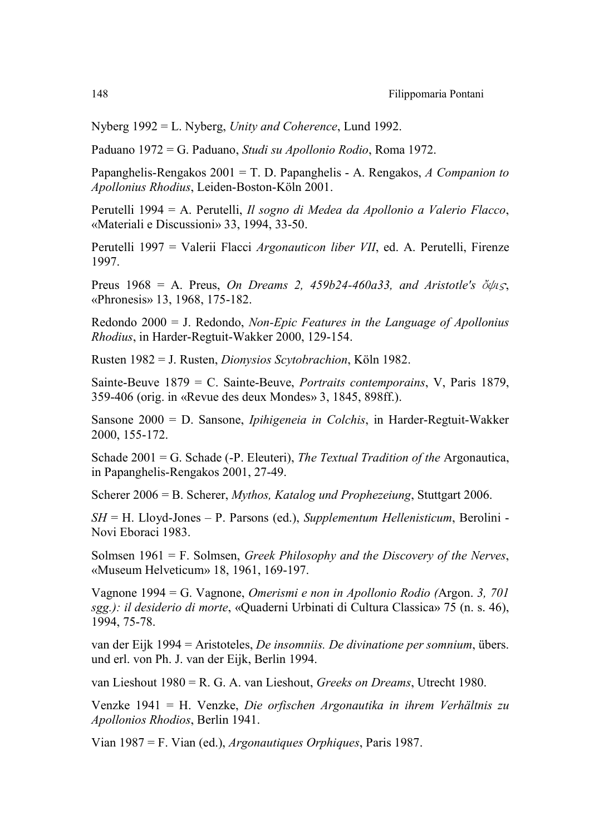Nyberg 1992 = L. Nyberg, *Unity and Coherence*, Lund 1992.

Paduano 1972 = G. Paduano, *Studi su Apollonio Rodio*, Roma 1972.

Papanghelis-Rengakos 2001 = T. D. Papanghelis - A. Rengakos, *A Companion to Apollonius Rhodius*, Leiden-Boston-Köln 2001.

Perutelli 1994 = A. Perutelli, *Il sogno di Medea da Apollonio a Valerio Flacco*, «Materiali e Discussioni» 33, 1994, 33-50.

Perutelli 1997 = Valerii Flacci *Argonauticon liber VII*, ed. A. Perutelli, Firenze 1997.

Preus 1968 = A. Preus, *On Dreams 2, 459b24-460a33, and Aristotle's*  $\delta \psi$ *is*, «Phronesis» 13, 1968, 175-182.

Redondo 2000 = J. Redondo, *Non-Epic Features in the Language of Apollonius Rhodius*, in Harder-Regtuit-Wakker 2000, 129-154.

Rusten 1982 = J. Rusten, *Dionysios Scytobrachion*, Köln 1982.

Sainte-Beuve 1879 = C. Sainte-Beuve, *Portraits contemporains*, V, Paris 1879, 359-406 (orig. in «Revue des deux Mondes» 3, 1845, 898ff.).

Sansone 2000 = D. Sansone, *Ipihigeneia in Colchis*, in Harder-Regtuit-Wakker 2000, 155-172.

Schade 2001 = G. Schade (-P. Eleuteri), *The Textual Tradition of the* Argonautica, in Papanghelis-Rengakos 2001, 27-49.

Scherer 2006 = B. Scherer, *Mythos, Katalog und Prophezeiung*, Stuttgart 2006.

*SH* = H. Lloyd-Jones – P. Parsons (ed.), *Supplementum Hellenisticum*, Berolini - Novi Eboraci 1983.

Solmsen 1961 = F. Solmsen, *Greek Philosophy and the Discovery of the Nerves*, «Museum Helveticum» 18, 1961, 169-197.

Vagnone 1994 = G. Vagnone, *Omerismi e non in Apollonio Rodio (*Argon. *3, 701 sgg.): il desiderio di morte*, «Quaderni Urbinati di Cultura Classica» 75 (n. s. 46), 1994, 75-78.

van der Eijk 1994 = Aristoteles, *De insomniis. De divinatione per somnium*, übers. und erl. von Ph. J. van der Eijk, Berlin 1994.

van Lieshout 1980 = R. G. A. van Lieshout, *Greeks on Dreams*, Utrecht 1980.

Venzke 1941 = H. Venzke, *Die orfischen Argonautika in ihrem Verhältnis zu Apollonios Rhodios*, Berlin 1941.

Vian 1987 = F. Vian (ed.), *Argonautiques Orphiques*, Paris 1987.